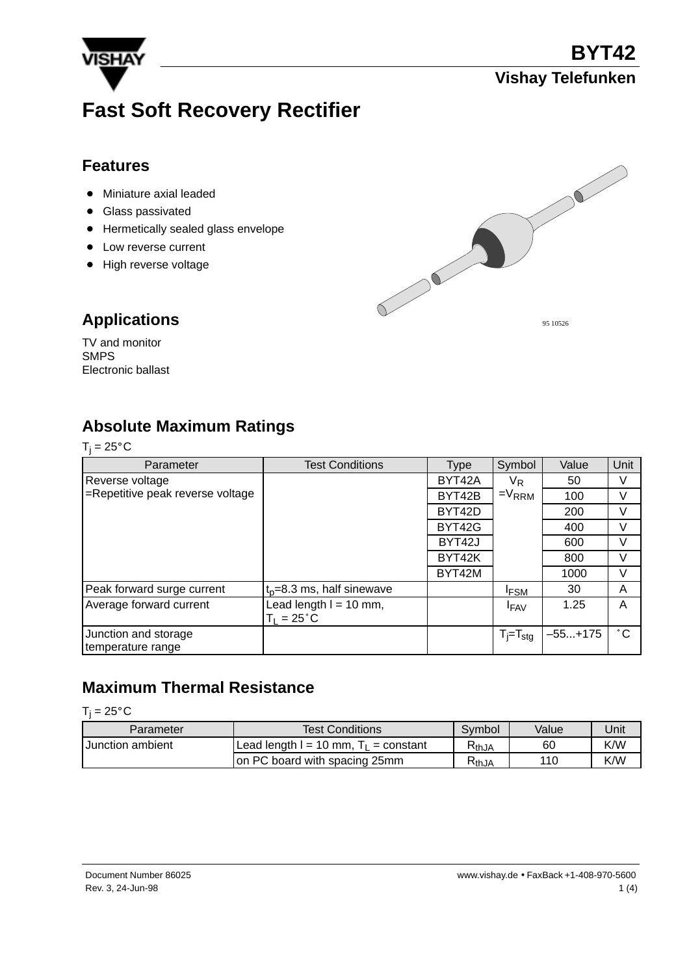

# **Fast Soft Recovery Rectifier**

### **Features**

- Miniature axial leaded
- **Glass passivated**
- **•** Hermetically sealed glass envelope
- Low reverse current
- High reverse voltage



### **Applications**

TV and monitor SMPS Electronic ballast

### **Absolute Maximum Ratings**

| г | × |  |
|---|---|--|
|   |   |  |

| Parameter                        | <b>Test Conditions</b>        | Type   | Symbol          | Value     | Unit         |  |
|----------------------------------|-------------------------------|--------|-----------------|-----------|--------------|--|
| Reverse voltage                  |                               | BYT42A | $V_{R}$         | 50        | V            |  |
| =Repetitive peak reverse voltage |                               | BYT42B | $=V_{RRM}$      | 100       | V            |  |
|                                  |                               | BYT42D |                 | 200       | V            |  |
|                                  |                               | BYT42G |                 | 400       | V            |  |
|                                  |                               | BYT42J |                 | 600       | V            |  |
|                                  |                               | BYT42K |                 | 800       | V            |  |
|                                  |                               | BYT42M |                 | 1000      | V            |  |
| Peak forward surge current       | $t_0 = 8.3$ ms, half sinewave |        | <b>IFSM</b>     | 30        | A            |  |
| Average forward current          | Lead length $I = 10$ mm,      |        | <b>IFAV</b>     | 1.25      | A            |  |
|                                  | $T_1 = 25^{\circ}C$           |        |                 |           |              |  |
| Junction and storage             |                               |        | $T_i = T_{sta}$ | $-55+175$ | $^{\circ}$ C |  |
| temperature range                |                               |        |                 |           |              |  |

### **Maximum Thermal Resistance**

#### $T_j = 25^\circ \text{C}$

| Parameter               | <b>Test Conditions</b>                    | Svmbol | Value | Unit |
|-------------------------|-------------------------------------------|--------|-------|------|
| <b>Junction ambient</b> | Lead length $I = 10$ mm, $T_1$ = constant | ≺thJA  | 60    | K/W  |
|                         | on PC board with spacing 25mm             | ≺thJA  | 110   | K/W  |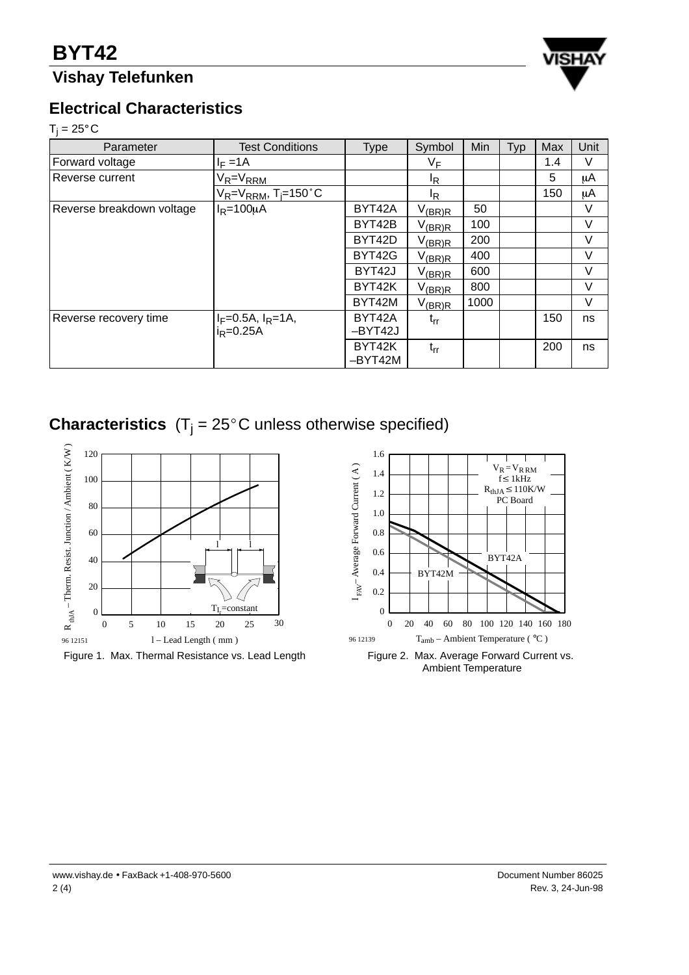## **Vishay Telefunken**



### **Electrical Characteristics**

**Electri**<br>T<sub>j</sub> = 25°C

| Parameter                 | <b>Test Conditions</b>                  | <b>Type</b>         | Symbol                | Min  | Typ | Max | Unit |
|---------------------------|-----------------------------------------|---------------------|-----------------------|------|-----|-----|------|
| Forward voltage           | $I_F = 1A$                              |                     | VF                    |      |     | 1.4 | V    |
| Reverse current           | $V_R = V_{RRM}$                         |                     | IR.                   |      |     | 5   | μA   |
|                           | $V_R = V_{RRM}$ , T <sub>i</sub> =150°C |                     | IR.                   |      |     | 150 | μA   |
| Reverse breakdown voltage | $I_R = 100 \mu A$                       | BYT42A              | $V_{\frac{(BR)R}{2}}$ | 50   |     |     | ٧    |
|                           |                                         | BYT42B              | $V_{\text{(BR)R}}$    | 100  |     |     | V    |
|                           |                                         | BYT42D              | $V_{\text{(BR)R}}$    | 200  |     |     | V    |
|                           |                                         | BYT42G              | $V_{(BR)R}$           | 400  |     |     | V    |
|                           |                                         | BYT42J              | $V_{\text{(BR)R}}$    | 600  |     |     | V    |
|                           |                                         | BYT42K              | $V_{(BR)R}$           | 800  |     |     | V    |
|                           |                                         | BYT42M              | $V_{(BR)R}$           | 1000 |     |     | V    |
| Reverse recovery time     | $I_F = 0.5A$ , $I_R = 1A$ ,             | BYT42A              | $t_{rr}$              |      |     | 150 | ns   |
|                           | $i_R = 0.25A$                           | -BYT42J             |                       |      |     |     |      |
|                           |                                         | BYT42K<br>$-BYT42M$ | $t_{rr}$              |      |     | 200 | ns   |

**Characteristics**  $(T_j = 25^{\circ}C$  unless otherwise specified)



Figure 1. Max. Thermal Resistance vs. Lead Length



Ambient Temperature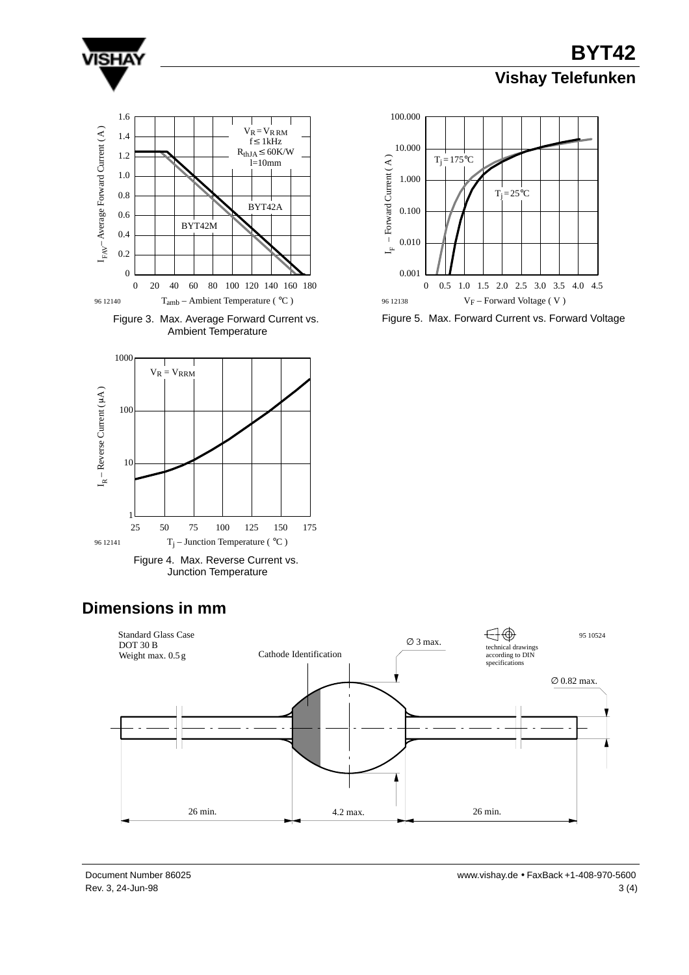

**BYT42 Vishay Telefunken**









Figure 5. Max. Forward Current vs. Forward Voltage

## **Dimensions in mm**